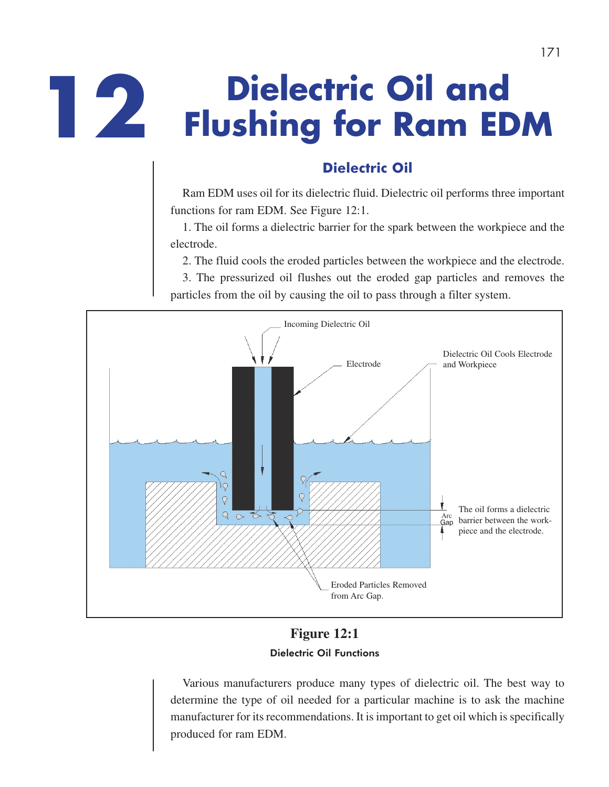# **Dielectric Oil and 12 Flushing for Ram EDM**

# **Dielectric Oil**

Ram EDM uses oil for its dielectric fluid. Dielectric oil performs three important functions for ram EDM. See Figure 12:1.

1. The oil forms a dielectric barrier for the spark between the workpiece and the electrode.

2. The fluid cools the eroded particles between the workpiece and the electrode.

3. The pressurized oil flushes out the eroded gap particles and removes the particles from the oil by causing the oil to pass through a filter system.



# **Figure 12:1** Dielectric Oil Functions

Various manufacturers produce many types of dielectric oil. The best way to determine the type of oil needed for a particular machine is to ask the machine manufacturer for its recommendations. It is important to get oil which is specifically produced for ram EDM.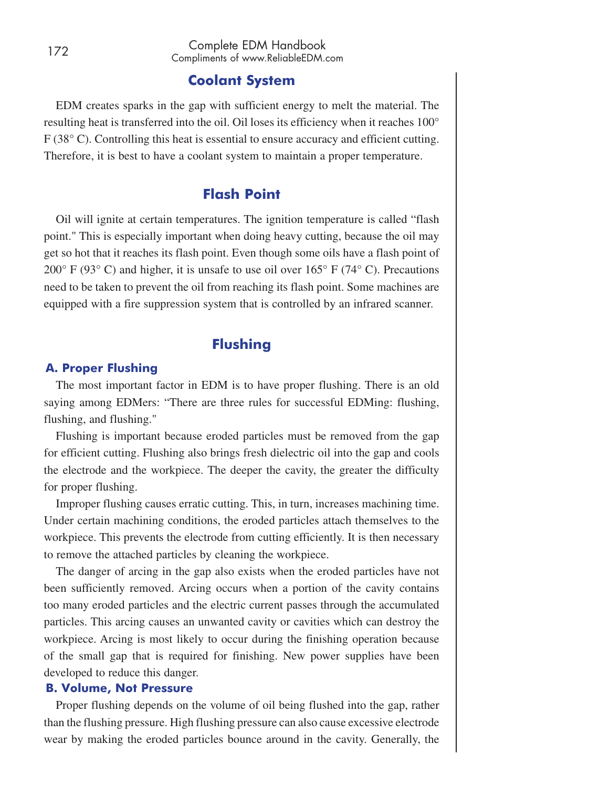## **Coolant System**

EDM creates sparks in the gap with sufficient energy to melt the material. The resulting heat is transferred into the oil. Oil loses its efficiency when it reaches 100° F (38° C). Controlling this heat is essential to ensure accuracy and efficient cutting. Therefore, it is best to have a coolant system to maintain a proper temperature.

## **Flash Point**

Oil will ignite at certain temperatures. The ignition temperature is called "flash point." This is especially important when doing heavy cutting, because the oil may get so hot that it reaches its flash point. Even though some oils have a flash point of 200 $\degree$  F (93 $\degree$  C) and higher, it is unsafe to use oil over 165 $\degree$  F (74 $\degree$  C). Precautions need to be taken to prevent the oil from reaching its flash point. Some machines are equipped with a fire suppression system that is controlled by an infrared scanner.

## **Flushing**

## **A. Proper Flushing**

The most important factor in EDM is to have proper flushing. There is an old saying among EDMers: "There are three rules for successful EDMing: flushing, flushing, and flushing."

Flushing is important because eroded particles must be removed from the gap for efficient cutting. Flushing also brings fresh dielectric oil into the gap and cools the electrode and the workpiece. The deeper the cavity, the greater the difficulty for proper flushing.

Improper flushing causes erratic cutting. This, in turn, increases machining time. Under certain machining conditions, the eroded particles attach themselves to the workpiece. This prevents the electrode from cutting efficiently. It is then necessary to remove the attached particles by cleaning the workpiece.

The danger of arcing in the gap also exists when the eroded particles have not been sufficiently removed. Arcing occurs when a portion of the cavity contains too many eroded particles and the electric current passes through the accumulated particles. This arcing causes an unwanted cavity or cavities which can destroy the workpiece. Arcing is most likely to occur during the finishing operation because of the small gap that is required for finishing. New power supplies have been developed to reduce this danger.

#### **B. Volume, Not Pressure**

Proper flushing depends on the volume of oil being flushed into the gap, rather than the flushing pressure. High flushing pressure can also cause excessive electrode wear by making the eroded particles bounce around in the cavity. Generally, the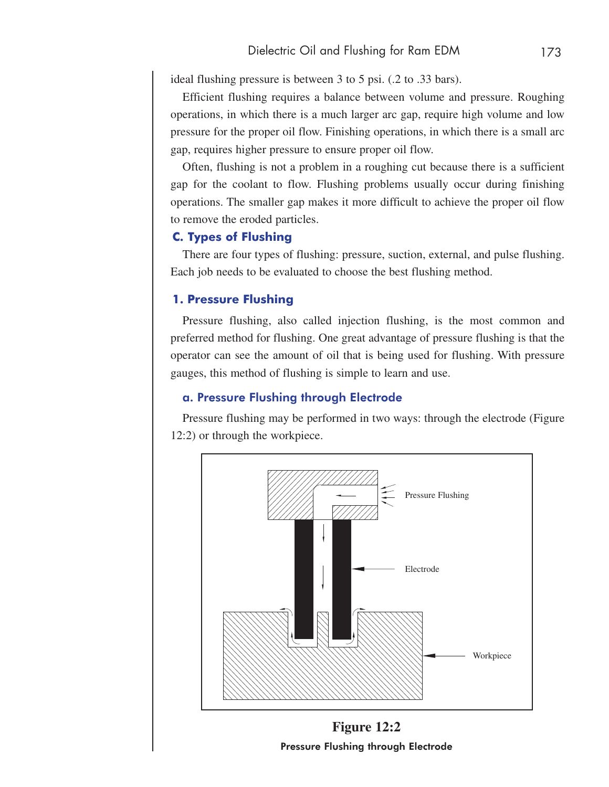ideal flushing pressure is between 3 to 5 psi. (.2 to .33 bars).

Efficient flushing requires a balance between volume and pressure. Roughing operations, in which there is a much larger arc gap, require high volume and low pressure for the proper oil flow. Finishing operations, in which there is a small arc gap, requires higher pressure to ensure proper oil flow.

Often, flushing is not a problem in a roughing cut because there is a sufficient gap for the coolant to flow. Flushing problems usually occur during finishing operations. The smaller gap makes it more difficult to achieve the proper oil flow to remove the eroded particles.

## **C. Types of Flushing**

There are four types of flushing: pressure, suction, external, and pulse flushing. Each job needs to be evaluated to choose the best flushing method.

## **1. Pressure Flushing**

Pressure flushing, also called injection flushing, is the most common and preferred method for flushing. One great advantage of pressure flushing is that the operator can see the amount of oil that is being used for flushing. With pressure gauges, this method of flushing is simple to learn and use.

## a. Pressure Flushing through Electrode

Pressure flushing may be performed in two ways: through the electrode (Figure 12:2) or through the workpiece.



Pressure Flushing through Electrode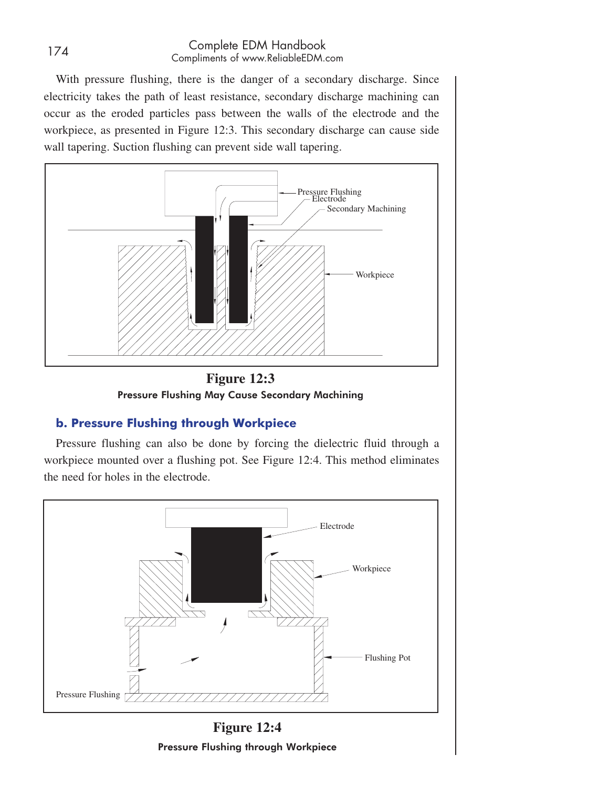## <sup>174</sup> Complete EDM Handbook Compliments of www.ReliableEDM.com

With pressure flushing, there is the danger of a secondary discharge. Since electricity takes the path of least resistance, secondary discharge machining can occur as the eroded particles pass between the walls of the electrode and the workpiece, as presented in Figure 12:3. This secondary discharge can cause side wall tapering. Suction flushing can prevent side wall tapering.





## **b. Pressure Flushing through Workpiece**

Pressure flushing can also be done by forcing the dielectric fluid through a workpiece mounted over a flushing pot. See Figure 12:4. This method eliminates the need for holes in the electrode.



**Figure 12:4** Pressure Flushing through Workpiece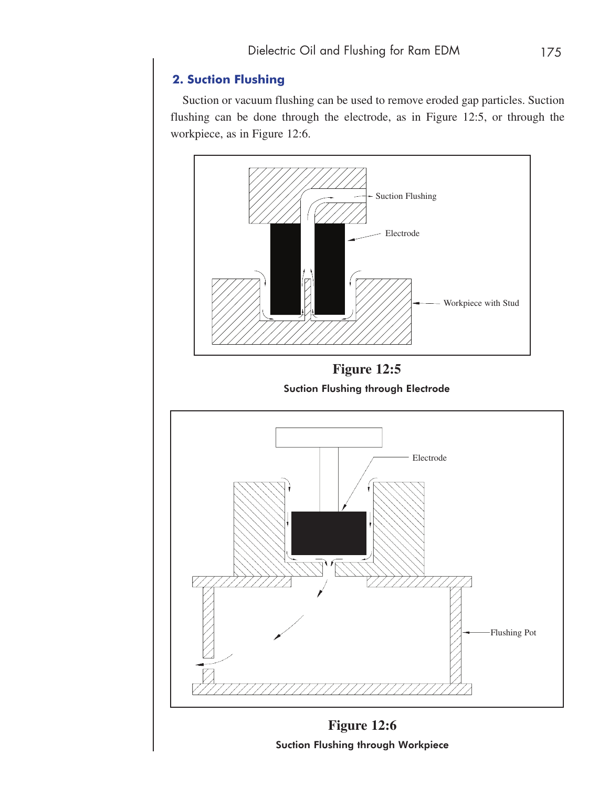# **2. Suction Flushing**

Suction or vacuum flushing can be used to remove eroded gap particles. Suction flushing can be done through the electrode, as in Figure 12:5, or through the workpiece, as in Figure 12:6.



Suction Flushing through Workpiece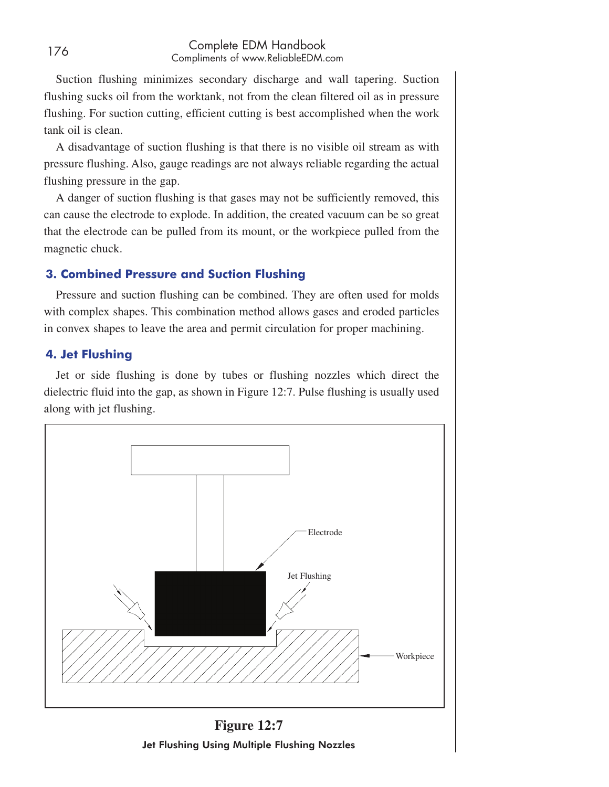## <sup>176</sup> Complete EDM Handbook Compliments of www.ReliableEDM.com

Suction flushing minimizes secondary discharge and wall tapering. Suction flushing sucks oil from the worktank, not from the clean filtered oil as in pressure flushing. For suction cutting, efficient cutting is best accomplished when the work tank oil is clean.

A disadvantage of suction flushing is that there is no visible oil stream as with pressure flushing. Also, gauge readings are not always reliable regarding the actual flushing pressure in the gap.

A danger of suction flushing is that gases may not be sufficiently removed, this can cause the electrode to explode. In addition, the created vacuum can be so great that the electrode can be pulled from its mount, or the workpiece pulled from the magnetic chuck.

## **3. Combined Pressure and Suction Flushing**

Pressure and suction flushing can be combined. They are often used for molds with complex shapes. This combination method allows gases and eroded particles in convex shapes to leave the area and permit circulation for proper machining.

## **4. Jet Flushing**

Jet or side flushing is done by tubes or flushing nozzles which direct the dielectric fluid into the gap, as shown in Figure 12:7. Pulse flushing is usually used along with jet flushing.



**Figure 12:7** Jet Flushing Using Multiple Flushing Nozzles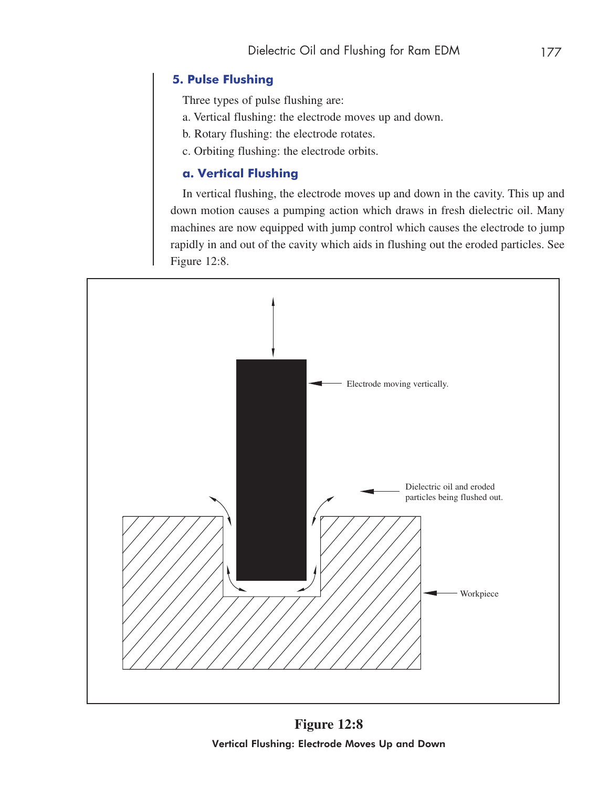# **5. Pulse Flushing**

Three types of pulse flushing are:

- a. Vertical flushing: the electrode moves up and down.
- b. Rotary flushing: the electrode rotates.
- c. Orbiting flushing: the electrode orbits.

# **a. Vertical Flushing**

In vertical flushing, the electrode moves up and down in the cavity. This up and down motion causes a pumping action which draws in fresh dielectric oil. Many machines are now equipped with jump control which causes the electrode to jump rapidly in and out of the cavity which aids in flushing out the eroded particles. See Figure 12:8.



**Figure 12:8** Vertical Flushing: Electrode Moves Up and Down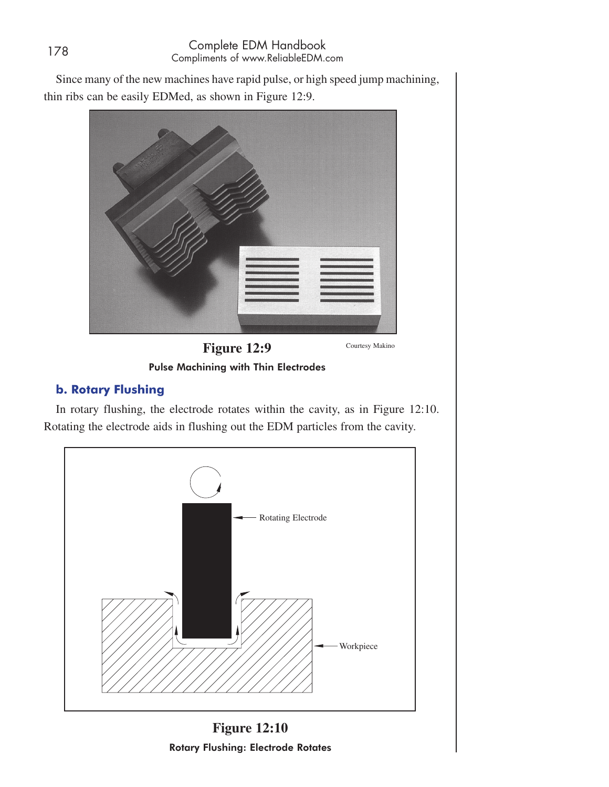Since many of the new machines have rapid pulse, or high speed jump machining, thin ribs can be easily EDMed, as shown in Figure 12:9.



**Figure 12:9**

Pulse Machining with Thin Electrodes

## **b. Rotary Flushing**

In rotary flushing, the electrode rotates within the cavity, as in Figure 12:10. Rotating the electrode aids in flushing out the EDM particles from the cavity.



**Figure 12:10** Rotary Flushing: Electrode Rotates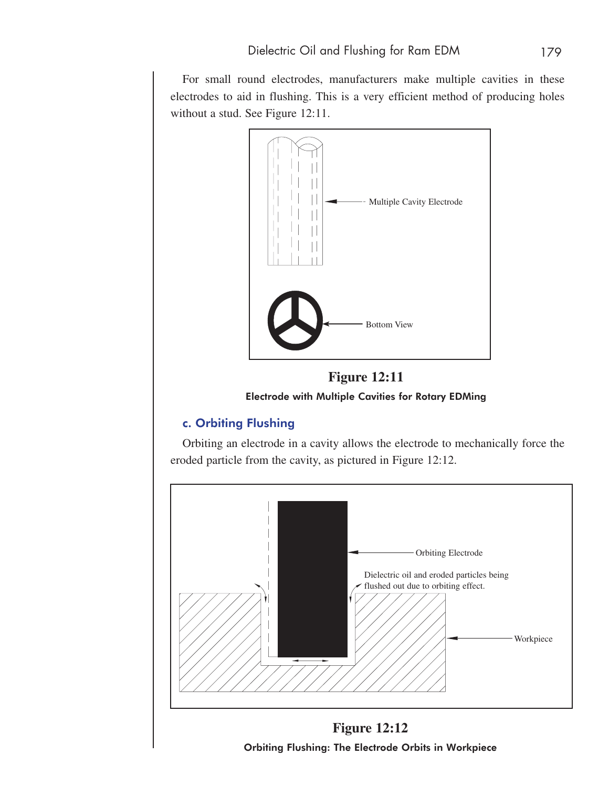For small round electrodes, manufacturers make multiple cavities in these electrodes to aid in flushing. This is a very efficient method of producing holes without a stud. See Figure 12:11.



**Figure 12:11** Electrode with Multiple Cavities for Rotary EDMing

# c. Orbiting Flushing

Orbiting an electrode in a cavity allows the electrode to mechanically force the eroded particle from the cavity, as pictured in Figure 12:12.



**Figure 12:12** Orbiting Flushing: The Electrode Orbits in Workpiece